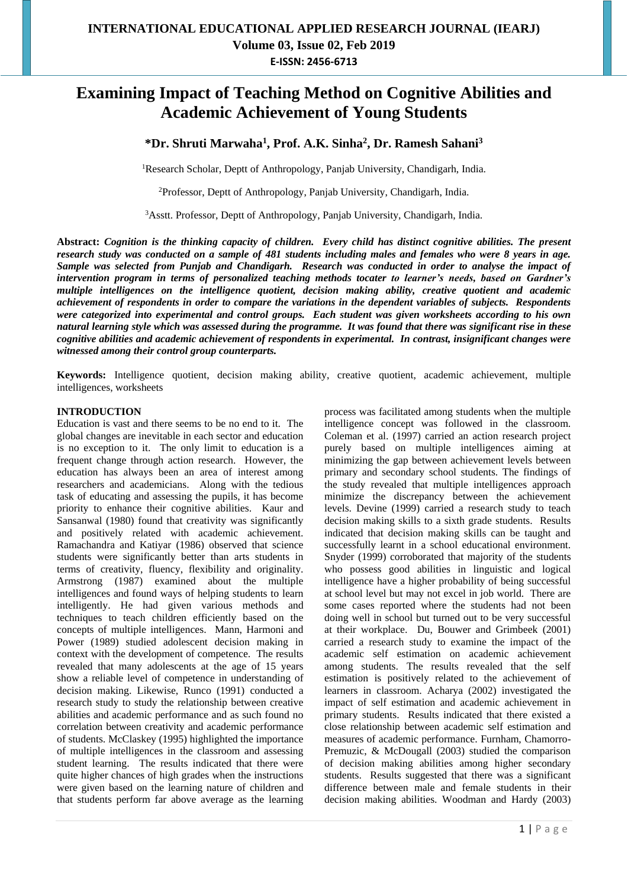# **Examining Impact of Teaching Method on Cognitive Abilities and Academic Achievement of Young Students**

**\*Dr. Shruti Marwaha<sup>1</sup> , Prof. A.K. Sinha<sup>2</sup> , Dr. Ramesh Sahani<sup>3</sup>**

<sup>1</sup>Research Scholar, Deptt of Anthropology, Panjab University, Chandigarh, India.

<sup>2</sup>Professor, Deptt of Anthropology, Panjab University, Chandigarh, India.

<sup>3</sup>Asstt. Professor, Deptt of Anthropology, Panjab University, Chandigarh, India.

**Abstract:** *Cognition is the thinking capacity of children. Every child has distinct cognitive abilities. The present research study was conducted on a sample of 481 students including males and females who were 8 years in age. Sample was selected from Punjab and Chandigarh. Research was conducted in order to analyse the impact of intervention program in terms of personalized teaching methods tocater to learner's needs, based on Gardner's multiple intelligences on the intelligence quotient, decision making ability, creative quotient and academic achievement of respondents in order to compare the variations in the dependent variables of subjects. Respondents were categorized into experimental and control groups. Each student was given worksheets according to his own natural learning style which was assessed during the programme. It was found that there was significant rise in these cognitive abilities and academic achievement of respondents in experimental. In contrast, insignificant changes were witnessed among their control group counterparts.* 

**Keywords:** Intelligence quotient, decision making ability, creative quotient, academic achievement, multiple intelligences, worksheets

#### **INTRODUCTION**

Education is vast and there seems to be no end to it. The global changes are inevitable in each sector and education is no exception to it. The only limit to education is a frequent change through action research. However, the education has always been an area of interest among researchers and academicians. Along with the tedious task of educating and assessing the pupils, it has become priority to enhance their cognitive abilities. Kaur and Sansanwal (1980) found that creativity was significantly and positively related with academic achievement. Ramachandra and Katiyar (1986) observed that science students were significantly better than arts students in terms of creativity, fluency, flexibility and originality. Armstrong (1987) examined about the multiple intelligences and found ways of helping students to learn intelligently. He had given various methods and techniques to teach children efficiently based on the concepts of multiple intelligences. Mann, Harmoni and Power (1989) studied adolescent decision making in context with the development of competence. The results revealed that many adolescents at the age of 15 years show a reliable level of competence in understanding of decision making. Likewise, Runco (1991) conducted a research study to study the relationship between creative abilities and academic performance and as such found no correlation between creativity and academic performance of students. McClaskey (1995) highlighted the importance of multiple intelligences in the classroom and assessing student learning. The results indicated that there were quite higher chances of high grades when the instructions were given based on the learning nature of children and that students perform far above average as the learning

process was facilitated among students when the multiple intelligence concept was followed in the classroom. Coleman et al. (1997) carried an action research project purely based on multiple intelligences aiming at minimizing the gap between achievement levels between primary and secondary school students. The findings of the study revealed that multiple intelligences approach minimize the discrepancy between the achievement levels. Devine (1999) carried a research study to teach decision making skills to a sixth grade students. Results indicated that decision making skills can be taught and successfully learnt in a school educational environment. Snyder (1999) corroborated that majority of the students who possess good abilities in linguistic and logical intelligence have a higher probability of being successful at school level but may not excel in job world. There are some cases reported where the students had not been doing well in school but turned out to be very successful at their workplace. Du, Bouwer and Grimbeek (2001) carried a research study to examine the impact of the academic self estimation on academic achievement among students. The results revealed that the self estimation is positively related to the achievement of learners in classroom. Acharya (2002) investigated the impact of self estimation and academic achievement in primary students. Results indicated that there existed a close relationship between academic self estimation and measures of academic performance. Furnham, Chamorro-Premuzic, & McDougall (2003) studied the comparison of decision making abilities among higher secondary students. Results suggested that there was a significant difference between male and female students in their decision making abilities. Woodman and Hardy (2003)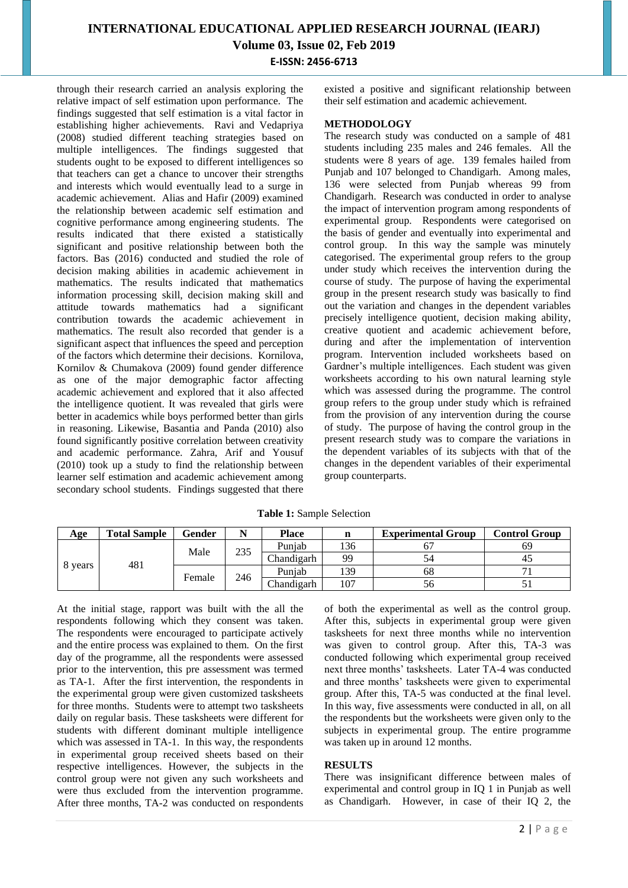through their research carried an analysis exploring the relative impact of self estimation upon performance. The findings suggested that self estimation is a vital factor in establishing higher achievements. Ravi and Vedapriya (2008) studied different teaching strategies based on multiple intelligences. The findings suggested that students ought to be exposed to different intelligences so that teachers can get a chance to uncover their strengths and interests which would eventually lead to a surge in academic achievement. Alias and Hafir (2009) examined the relationship between academic self estimation and cognitive performance among engineering students. The results indicated that there existed a statistically significant and positive relationship between both the factors. Bas (2016) conducted and studied the role of decision making abilities in academic achievement in mathematics. The results indicated that mathematics information processing skill, decision making skill and attitude towards mathematics had a significant contribution towards the academic achievement in mathematics. The result also recorded that gender is a significant aspect that influences the speed and perception of the factors which determine their decisions. Kornilova, Kornilov & Chumakova (2009) found gender difference as one of the major demographic factor affecting academic achievement and explored that it also affected the intelligence quotient. It was revealed that girls were better in academics while boys performed better than girls in reasoning. Likewise, Basantia and Panda (2010) also found significantly positive correlation between creativity and academic performance. Zahra, Arif and Yousuf (2010) took up a study to find the relationship between learner self estimation and academic achievement among secondary school students. Findings suggested that there existed a positive and significant relationship between their self estimation and academic achievement.

#### **METHODOLOGY**

The research study was conducted on a sample of 481 students including 235 males and 246 females. All the students were 8 years of age. 139 females hailed from Punjab and 107 belonged to Chandigarh. Among males, 136 were selected from Punjab whereas 99 from Chandigarh. Research was conducted in order to analyse the impact of intervention program among respondents of experimental group. Respondents were categorised on the basis of gender and eventually into experimental and control group. In this way the sample was minutely categorised. The experimental group refers to the group under study which receives the intervention during the course of study. The purpose of having the experimental group in the present research study was basically to find out the variation and changes in the dependent variables precisely intelligence quotient, decision making ability, creative quotient and academic achievement before, during and after the implementation of intervention program. Intervention included worksheets based on Gardner's multiple intelligences. Each student was given worksheets according to his own natural learning style which was assessed during the programme. The control group refers to the group under study which is refrained from the provision of any intervention during the course of study. The purpose of having the control group in the present research study was to compare the variations in the dependent variables of its subjects with that of the changes in the dependent variables of their experimental group counterparts.

| Age     | <b>Total Sample</b> | Gender |     | Place      | n   | <b>Experimental Group</b> | <b>Control Group</b> |
|---------|---------------------|--------|-----|------------|-----|---------------------------|----------------------|
|         |                     | Male   | 235 | Puniab     | 136 |                           | 69                   |
| 8 years | 481                 |        |     | Chandigarh | 99  |                           | 42                   |
|         |                     | Female |     | Puniab     | 139 | 68                        |                      |
|         |                     |        | 246 | Chandigarh | 107 | 56                        |                      |

**Table 1:** Sample Selection

At the initial stage, rapport was built with the all the respondents following which they consent was taken. The respondents were encouraged to participate actively and the entire process was explained to them. On the first day of the programme, all the respondents were assessed prior to the intervention, this pre assessment was termed as TA-1. After the first intervention, the respondents in the experimental group were given customized tasksheets for three months. Students were to attempt two tasksheets daily on regular basis. These tasksheets were different for students with different dominant multiple intelligence which was assessed in TA-1. In this way, the respondents in experimental group received sheets based on their respective intelligences. However, the subjects in the control group were not given any such worksheets and were thus excluded from the intervention programme. After three months, TA-2 was conducted on respondents

of both the experimental as well as the control group. After this, subjects in experimental group were given tasksheets for next three months while no intervention was given to control group. After this, TA-3 was conducted following which experimental group received next three months' tasksheets. Later TA-4 was conducted and three months' tasksheets were given to experimental group. After this, TA-5 was conducted at the final level. In this way, five assessments were conducted in all, on all the respondents but the worksheets were given only to the subjects in experimental group. The entire programme was taken up in around 12 months.

#### **RESULTS**

There was insignificant difference between males of experimental and control group in IQ 1 in Punjab as well as Chandigarh. However, in case of their IQ 2, the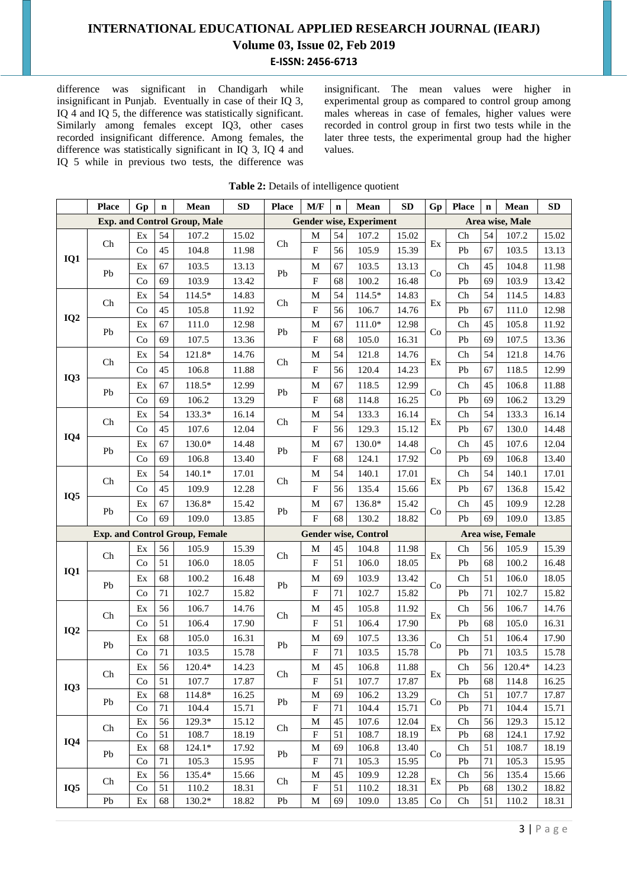difference was significant in Chandigarh while insignificant in Punjab. Eventually in case of their IQ 3, IQ 4 and IQ 5, the difference was statistically significant. Similarly among females except IQ3, other cases recorded insignificant difference. Among females, the difference was statistically significant in IQ 3, IQ 4 and IQ 5 while in previous two tests, the difference was insignificant. The mean values were higher in experimental group as compared to control group among males whereas in case of females, higher values were recorded in control group in first two tests while in the later three tests, the experimental group had the higher values.

|                 | <b>Place</b> | Gp                     | $\mathbf n$ | Mean                                  | <b>SD</b>      | <b>Place</b> | M/F                            | $\mathbf n$ | Mean                           | <b>SD</b>      | Gp                              | <b>Place</b> | $\mathbf n$ | Mean              | SD             |
|-----------------|--------------|------------------------|-------------|---------------------------------------|----------------|--------------|--------------------------------|-------------|--------------------------------|----------------|---------------------------------|--------------|-------------|-------------------|----------------|
|                 |              |                        |             | <b>Exp. and Control Group, Male</b>   |                |              |                                |             | <b>Gender wise, Experiment</b> |                |                                 |              |             | Area wise, Male   |                |
|                 | Ch           | Ex                     | 54          | 107.2                                 | 15.02          | Ch           | M                              | 54          | 107.2                          | 15.02          | Ex                              | Ch           | 54          | 107.2             | 15.02          |
|                 |              | Co                     | 45          | 104.8                                 | 11.98          |              | ${\bf F}$                      | 56          | 105.9                          | 15.39          |                                 | Pb           | 67          | 103.5             | 13.13          |
| IQ1             |              | Ex                     | 67          | 103.5                                 | 13.13          |              | M                              | 67          | 103.5                          | 13.13          |                                 | Ch           | 45          | 104.8             | 11.98          |
|                 | Pb           | Co                     | 69          | 103.9                                 | 13.42          | Pb           | $\boldsymbol{\mathrm{F}}$      | 68          | 100.2                          | 16.48          | Co                              | Pb           | 69          | 103.9             | 13.42          |
|                 | Ch           | Ex                     | 54          | 114.5*                                | 14.83          | Ch           | M                              | 54          | 114.5*                         | 14.83          | Ex                              | Ch           | 54          | 114.5             | 14.83          |
|                 |              | Co                     | 45          | 105.8                                 | 11.92          |              | $_{\rm F}$                     | 56          | 106.7                          | 14.76          |                                 | Pb           | 67          | 111.0             | 12.98          |
| IQ <sub>2</sub> | Pb           | Ex                     | 67          | 111.0                                 | 12.98          | Pb           | M                              | 67          | $111.0*$                       | 12.98          | Co                              | Ch           | 45          | 105.8             | 11.92          |
|                 |              | Co                     | 69          | 107.5                                 | 13.36          |              | $_{\rm F}$                     | 68          | 105.0                          | 16.31          |                                 | Pb           | 69          | 107.5             | 13.36          |
|                 | Ch           | Ex                     | 54          | 121.8*                                | 14.76          | ${\rm Ch}$   | M                              | 54          | 121.8                          | 14.76          | Ex                              | Ch           | 54          | 121.8             | 14.76          |
|                 |              | Co                     | 45          | 106.8                                 | 11.88          |              | $\boldsymbol{\mathrm{F}}$      | 56          | 120.4                          | 14.23          |                                 | Pb           | 67          | 118.5             | 12.99          |
| IQ3             | Pb           | $\mathop{\textrm{Ex}}$ | 67          | 118.5*                                | 12.99          | Pb           | M                              | 67          | 118.5                          | 12.99          |                                 | Ch           | 45          | 106.8             | 11.88          |
|                 |              | Co                     | 69          | 106.2                                 | 13.29          |              | $\mathbf F$                    | 68          | 114.8                          | 16.25          | Co                              | Pb           | 69          | 106.2             | 13.29          |
|                 | Ch           | Ex                     | 54          | 133.3*                                | 16.14          | Ch           | M                              | 54          | 133.3                          | 16.14          | Ex                              | Ch           | 54          | 133.3             | 16.14          |
| IQ4             |              | Co                     | 45          | 107.6                                 | 12.04          |              | $\mathbf F$                    | 56          | 129.3                          | 15.12          |                                 | Pb           | 67          | 130.0             | 14.48          |
|                 | Pb           | Ex                     | 67          | 130.0*                                | 14.48          | Pb           | M                              | 67          | 130.0*                         | 14.48          | Co                              | Ch           | 45          | 107.6             | 12.04          |
|                 |              | Co                     | 69          | 106.8                                 | 13.40          |              | $\mathbf F$                    | 68          | 124.1                          | 17.92          |                                 | Pb           | 69          | 106.8             | 13.40          |
|                 | Ch           | $\mathop{\textrm{Ex}}$ | 54          | $140.1*$                              | 17.01          | Ch           | M                              | 54          | 140.1                          | 17.01          | Ex                              | Ch           | 54          | 140.1             | 17.01          |
| IQ <sub>5</sub> |              | Co                     | 45          | 109.9                                 | 12.28          |              | $\boldsymbol{\mathrm{F}}$      | 56          | 135.4                          | 15.66          |                                 | Pb           | 67          | 136.8             | 15.42          |
|                 | Pb           | Ex                     | 67          | 136.8*                                | 15.42          | Pb           | M                              | 67          | 136.8*                         | 15.42          | Co                              | Ch           | 45          | 109.9             | 12.28          |
|                 |              | Co                     | 69          | 109.0                                 | 13.85          |              | $\mathbf F$                    | 68          | 130.2                          | 18.82          |                                 | Pb           | 69          | 109.0             | 13.85          |
|                 |              |                        |             | <b>Exp. and Control Group, Female</b> |                |              |                                |             | <b>Gender wise, Control</b>    |                |                                 |              |             | Area wise, Female |                |
|                 | Ch           | Ex                     | 56          | 105.9                                 | 15.39          | Ch           | M                              | 45          | 104.8                          | 11.98          | Ex                              | Ch           | 56          | 105.9             | 15.39          |
| IQ1             |              | Co                     | 51          | 106.0                                 | 18.05          |              | $\mathbf F$                    | 51          | 106.0                          | 18.05          |                                 | Pb           | 68          | 100.2             | 16.48          |
|                 | Pb           | Ex                     | 68          | 100.2                                 | 16.48          | Pb           | M                              | 69          | 103.9                          | 13.42          | Co                              | Ch           | 51          | 106.0             | 18.05          |
|                 |              | Co                     | $71\,$      | 102.7                                 | 15.82          |              | $\overline{F}$                 | 71          | 102.7                          | 15.82          |                                 | Pb           | 71          | 102.7             | 15.82          |
|                 | Ch           | Ex                     | 56          | 106.7                                 | 14.76          | ${\rm Ch}$   | M                              | 45          | 105.8                          | 11.92          | Ex                              | Ch           | 56          | 106.7             | 14.76          |
| IQ <sub>2</sub> |              | Co                     | 51          | 106.4                                 | 17.90          |              | $\boldsymbol{\mathrm{F}}$      | 51          | 106.4                          | 17.90          |                                 | Pb           | 68          | 105.0             | 16.31          |
|                 | Pb           | Ex                     | 68          | 105.0                                 | 16.31          | Pb           | M                              | 69          | 107.5                          | 13.36          | Co                              | Ch           | 51          | 106.4             | 17.90          |
|                 |              | Co                     | $71\,$      | 103.5                                 | 15.78          |              | $\boldsymbol{\mathrm{F}}$      | 71          | 103.5                          | 15.78          |                                 | Pb           | 71          | 103.5             | 15.78          |
|                 | Ch           | $\mathop{\textrm{Ex}}$ | 56          | 120.4*                                | 14.23          | Ch           | M                              | 45          | 106.8                          | 11.88          | $\mathop{\textrm{Ex}}\nolimits$ | Ch           | 56          | 120.4*            | 14.23          |
| IQ3             |              | Co                     | 51          | 107.7                                 | 17.87          |              | $\boldsymbol{\mathrm{F}}$      | 51          | 107.7                          | 17.87          |                                 | Pb           | 68          | 114.8             | 16.25          |
|                 | Pb           | Ex                     | 68          | 114.8*                                | 16.25          | Pb           | $\mathbf M$                    | 69          | 106.2                          | 13.29          | Co                              | Ch           | 51          | 107.7             | 17.87          |
|                 |              | Co                     | $71\,$      | 104.4                                 | 15.71          |              | ${\bf F}$                      | 71          | 104.4                          | 15.71          |                                 | Pb           | 71          | 104.4             | 15.71          |
|                 | Ch           | Ex<br>Co               | 56<br>51    | 129.3*<br>108.7                       | 15.12<br>18.19 | Ch           | M<br>$\boldsymbol{\mathrm{F}}$ | 45<br>51    | 107.6<br>108.7                 | 12.04<br>18.19 | Ex                              | Ch<br>Pb     | 56<br>68    | 129.3<br>124.1    | 15.12<br>17.92 |
| IQ4             |              | Ex                     | 68          | $124.1*$                              | 17.92          |              | M                              | 69          | 106.8                          | 13.40          |                                 | Ch           | 51          | 108.7             | 18.19          |
|                 | Pb           | Co                     | 71          | 105.3                                 | 15.95          | Pb           | $\boldsymbol{\mathrm{F}}$      | 71          | 105.3                          | 15.95          | Co                              | Pb           | 71          | 105.3             | 15.95          |
|                 |              | Ex                     | 56          | 135.4*                                | 15.66          |              | M                              | 45          | 109.9                          | 12.28          |                                 | Ch           | 56          | 135.4             | 15.66          |
| IQ <sub>5</sub> | Ch           | Co                     | 51          | 110.2                                 | 18.31          | Ch           | ${\bf F}$                      | 51          | 110.2                          | 18.31          | Ex                              | Pb           | 68          | 130.2             | 18.82          |
|                 | Pb           | Ex                     | 68          | $130.2*$                              | 18.82          | Pb           | M                              | 69          | 109.0                          | 13.85          | Co                              | Ch           | 51          | 110.2             | 18.31          |

#### **Table 2:** Details of intelligence quotient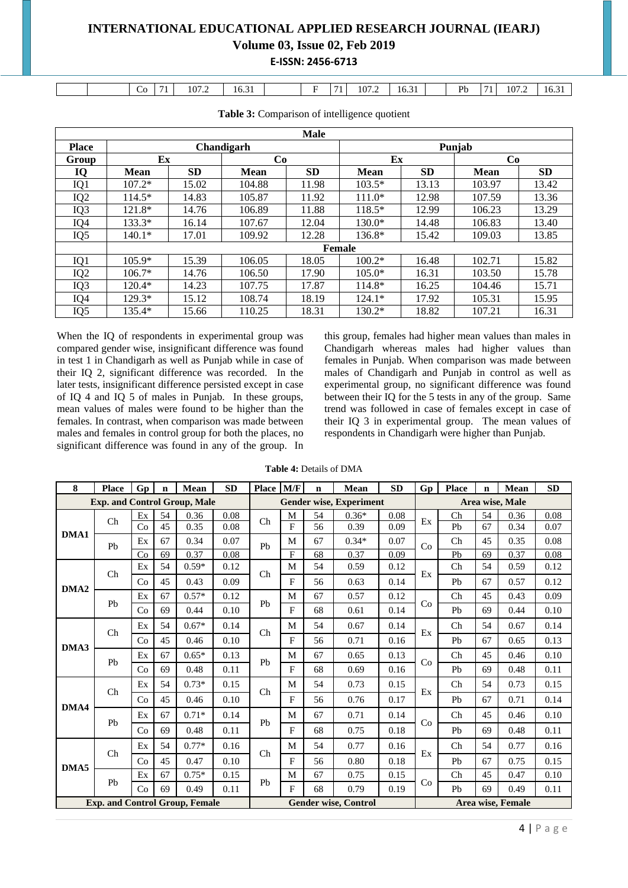|  | $\sim$<br>◡◡ | - - | 107.2 | $\sim$ $\sim$ $\sim$<br>16.51 |  | . .<br>$\overline{\phantom{a}}$ | 107.2 | $\sim$ 0.1<br>10.31 | $\mathbf{p}_h$<br>. U<br>- | 71<br>$\overline{\phantom{a}}$ | 107.2 | 16.3 |
|--|--------------|-----|-------|-------------------------------|--|---------------------------------|-------|---------------------|----------------------------|--------------------------------|-------|------|

|                 | <b>Male</b> |           |             |           |             |           |             |           |  |  |  |  |  |
|-----------------|-------------|-----------|-------------|-----------|-------------|-----------|-------------|-----------|--|--|--|--|--|
| <b>Place</b>    |             |           | Chandigarh  |           |             |           | Punjab      |           |  |  |  |  |  |
| Group           | Ex          |           | Co          |           | Ex          |           | Co          |           |  |  |  |  |  |
| IQ              | <b>Mean</b> | <b>SD</b> | <b>Mean</b> | <b>SD</b> | <b>Mean</b> | <b>SD</b> | <b>Mean</b> | <b>SD</b> |  |  |  |  |  |
| IQ1             | $107.2*$    | 15.02     | 104.88      | 11.98     | $103.5*$    | 13.13     | 103.97      | 13.42     |  |  |  |  |  |
| IQ <sub>2</sub> | $114.5*$    | 14.83     | 105.87      | 11.92     | $111.0*$    | 12.98     | 107.59      | 13.36     |  |  |  |  |  |
| IQ3             | 121.8*      | 14.76     | 106.89      | 11.88     | 118.5*      | 12.99     | 106.23      | 13.29     |  |  |  |  |  |
| IQ4             | $133.3*$    | 16.14     | 107.67      | 12.04     | 130.0*      | 14.48     | 106.83      | 13.40     |  |  |  |  |  |
| IQ <sub>5</sub> | $140.1*$    | 17.01     | 109.92      | 12.28     | 136.8*      | 15.42     | 109.03      | 13.85     |  |  |  |  |  |
|                 |             |           |             |           | Female      |           |             |           |  |  |  |  |  |
| IQ1             | $105.9*$    | 15.39     | 106.05      | 18.05     | $100.2*$    | 16.48     | 102.71      | 15.82     |  |  |  |  |  |
| IQ <sub>2</sub> | $106.7*$    | 14.76     | 106.50      | 17.90     | $105.0*$    | 16.31     | 103.50      | 15.78     |  |  |  |  |  |
| IQ3             | $120.4*$    | 14.23     | 107.75      | 17.87     | 114.8*      | 16.25     | 104.46      | 15.71     |  |  |  |  |  |
| IQ4             | 129.3*      | 15.12     | 108.74      | 18.19     | $124.1*$    | 17.92     | 105.31      | 15.95     |  |  |  |  |  |
| IQ <sub>5</sub> | 135.4*      | 15.66     | 110.25      | 18.31     | $130.2*$    | 18.82     | 107.21      | 16.31     |  |  |  |  |  |

**Table 3:** Comparison of intelligence quotient

When the IQ of respondents in experimental group was compared gender wise, insignificant difference was found in test 1 in Chandigarh as well as Punjab while in case of their IQ 2, significant difference was recorded. In the later tests, insignificant difference persisted except in case of IQ 4 and IQ 5 of males in Punjab. In these groups, mean values of males were found to be higher than the females. In contrast, when comparison was made between males and females in control group for both the places, no significant difference was found in any of the group. In

this group, females had higher mean values than males in Chandigarh whereas males had higher values than females in Punjab. When comparison was made between males of Chandigarh and Punjab in control as well as experimental group, no significant difference was found between their IQ for the 5 tests in any of the group. Same trend was followed in case of females except in case of their IQ 3 in experimental group. The mean values of respondents in Chandigarh were higher than Punjab.

**Table 4:** Details of DMA

| 8                              | <b>Place</b>                          | Gp                     | $\mathbf n$           | Mean    | <b>SD</b> | <b>Place</b>                    | M/F                                 | $\mathbf n$                    | Mean                           | SD   | Gp                | <b>Place</b>   | $\mathbf n$ | Mean            | <b>SD</b> |
|--------------------------------|---------------------------------------|------------------------|-----------------------|---------|-----------|---------------------------------|-------------------------------------|--------------------------------|--------------------------------|------|-------------------|----------------|-------------|-----------------|-----------|
|                                | <b>Exp. and Control Group, Male</b>   |                        |                       |         |           |                                 |                                     |                                | <b>Gender wise, Experiment</b> |      |                   |                |             | Area wise, Male |           |
|                                | Ch                                    | Ex                     | 54                    | 0.36    | 0.08      | Ch                              | M                                   | 54                             | $0.36*$                        | 0.08 | Ex                | Ch             | 54          | 0.36            | 0.08      |
| DMA1                           |                                       | Co                     | 45                    | 0.35    | 0.08      |                                 | $\rm F$                             | 56                             | 0.39                           | 0.09 |                   | Pb             | 67          | 0.34            | 0.07      |
|                                | Pb                                    | Ex                     | 67                    | 0.34    | 0.07      | Pb                              | M                                   | 67                             | $0.34*$                        | 0.07 | Co                | Ch             | 45          | 0.35            | 0.08      |
|                                |                                       | Co                     | 69                    | 0.37    | 0.08      |                                 | $\mathbf{F}$                        | 68                             | 0.37                           | 0.09 |                   | Pb             | 69          | 0.37            | 0.08      |
|                                | Ch                                    | Ex                     | 54                    | $0.59*$ | 0.12      | $\mathop{\mathrm{Ch}}\nolimits$ | M                                   | 54                             | 0.59                           | 0.12 | Ex                | Ch             | 54          | 0.59            | 0.12      |
| DMA <sub>2</sub>               |                                       | Co                     | 45                    | 0.43    | 0.09      |                                 | F                                   | 56                             | 0.63                           | 0.14 |                   | Pb             | 67          | 0.57            | 0.12      |
|                                | Pb                                    | Ex                     | 67                    | $0.57*$ | 0.12      | ${\rm Pb}$                      | M                                   | 67                             | 0.57                           | 0.12 | Co                | Ch             | 45          | 0.43            | 0.09      |
|                                |                                       | Co                     | 69                    | 0.44    | 0.10      |                                 | F                                   | 68                             | 0.61                           | 0.14 |                   | Pb             | 69          | 0.44            | 0.10      |
|                                | Ch                                    | Ex                     | 54                    | $0.67*$ | 0.14      | Ch                              | M<br>54<br>0.67<br>0.14<br>Ch<br>Ex |                                | 54                             | 0.67 | 0.14              |                |             |                 |           |
| DMA3                           |                                       | Co                     | 45                    | 0.46    | 0.10      |                                 | F                                   | 56                             | 0.71                           | 0.16 |                   | Pb             | 67          | 0.65            | 0.13      |
|                                | Pb                                    | Ex                     | 67                    | $0.65*$ | 0.13      | Pb                              | M                                   | 67                             | 0.65                           | 0.13 |                   | Ch             | 45          | 0.46            | 0.10      |
|                                |                                       | Co                     | 69                    | 0.48    | 0.11      |                                 | F                                   | 68                             | 0.69                           | 0.16 | Co                | P <sub>b</sub> | 69          | 0.48            | 0.11      |
|                                | Ch                                    | Ex                     | 54                    | $0.73*$ | 0.15      | Ch                              | M                                   | 54                             | 0.73                           | 0.15 | Ex                | Ch             | 54          | 0.73            | 0.15      |
| DMA4                           |                                       | Co                     | 45                    | 0.46    | 0.10      |                                 | F                                   | 56                             | 0.76                           | 0.17 |                   | Pb             | 67          | 0.71            | 0.14      |
|                                | Pb                                    | Ex                     | 67                    | $0.71*$ | 0.14      | Pb                              | M                                   | 67                             | 0.71                           | 0.14 | Co                | Ch             | 45          | 0.46            | $0.10\,$  |
|                                |                                       | Co                     | 69                    | 0.48    | 0.11      |                                 | F                                   | 68                             | 0.75                           | 0.18 |                   | Pb             | 69          | 0.48            | 0.11      |
|                                |                                       | Ex                     | 54                    | $0.77*$ | 0.16      |                                 | M                                   | 54                             | 0.77                           | 0.16 |                   | Ch             | 54          | 0.77            | 0.16      |
| DMA5                           | Ch                                    | Co                     | 45                    | 0.47    | 0.10      | Ch                              | F                                   | 56                             | 0.80                           | 0.18 | Ex                | Pb             | 67          | 0.75            | 0.15      |
|                                |                                       | $\mathop{\textrm{Ex}}$ | 67                    | $0.75*$ | 0.15      |                                 | M                                   | 67                             | 0.75                           | 0.15 |                   | Ch             | 45          | 0.47            | 0.10      |
| Pb<br>Co<br>69<br>0.11<br>0.49 |                                       |                        | Pb<br>F<br>68<br>0.79 |         |           |                                 | 0.19                                | Co<br>69<br>0.49<br>0.11<br>Pb |                                |      |                   |                |             |                 |           |
|                                | <b>Exp. and Control Group, Female</b> |                        |                       |         |           |                                 |                                     |                                | <b>Gender wise, Control</b>    |      | Area wise, Female |                |             |                 |           |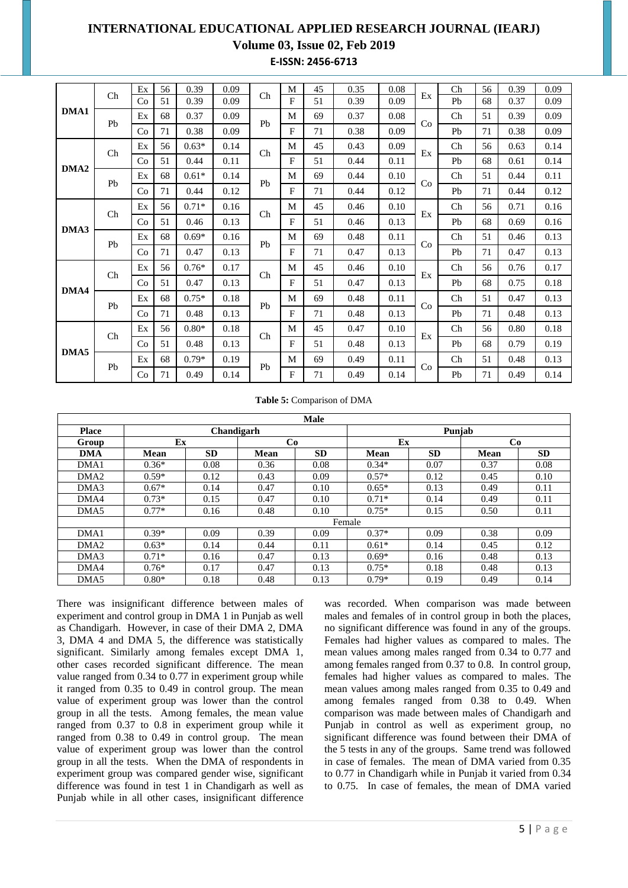# **INTERNATIONAL EDUCATIONAL APPLIED RESEARCH JOURNAL (IEARJ)**

### **Volume 03, Issue 02, Feb 2019**

**E-ISSN: 2456-6713**

|                  |    | Ex | 56 | 0.39    | 0.09 |                | M | 45 | 0.35 | 0.08 |    | Ch                              | 56 | 0.39 | 0.09 |
|------------------|----|----|----|---------|------|----------------|---|----|------|------|----|---------------------------------|----|------|------|
|                  | Ch | Co | 51 | 0.39    | 0.09 | Ch             | F | 51 | 0.39 | 0.09 | Ex | P <sub>b</sub>                  | 68 | 0.37 | 0.09 |
| DMA1             |    | Ex | 68 | 0.37    | 0.09 |                | M | 69 | 0.37 | 0.08 |    | Ch                              | 51 | 0.39 | 0.09 |
|                  | Pb | Co | 71 | 0.38    | 0.09 | Pb             | F | 71 | 0.38 | 0.09 | Co | Pb                              | 71 | 0.38 | 0.09 |
|                  | Ch | Ex | 56 | $0.63*$ | 0.14 | Ch             | M | 45 | 0.43 | 0.09 | Ex | Ch                              | 56 | 0.63 | 0.14 |
|                  |    | Co | 51 | 0.44    | 0.11 |                | F | 51 | 0.44 | 0.11 |    | Ph                              | 68 | 0.61 | 0.14 |
| DMA <sub>2</sub> |    | Ex | 68 | $0.61*$ | 0.14 |                | М | 69 | 0.44 | 0.10 |    | $\rm Ch$                        | 51 | 0.44 | 0.11 |
|                  | Pb | Co | 71 | 0.44    | 0.12 | Pb             | F | 71 | 0.44 | 0.12 | Co | P <sub>b</sub>                  | 71 | 0.44 | 0.12 |
|                  |    | Ex | 56 | $0.71*$ | 0.16 |                | M | 45 | 0.46 | 0.10 |    | Ch                              | 56 | 0.71 | 0.16 |
|                  | Ch | Co | 51 | 0.46    | 0.13 | Ch             | F | 51 | 0.46 | 0.13 | Ex | Pb                              | 68 | 0.69 | 0.16 |
| DMA3             |    | Ex | 68 | $0.69*$ | 0.16 |                | M | 69 | 0.48 | 0.11 | Co | $\mathop{\mathrm{Ch}}\nolimits$ | 51 | 0.46 | 0.13 |
|                  | Pb | Co | 71 | 0.47    | 0.13 | Pb             | F | 71 | 0.47 | 0.13 |    | Pb                              | 71 | 0.47 | 0.13 |
|                  |    | Ex | 56 | $0.76*$ | 0.17 |                | M | 45 | 0.46 | 0.10 |    | Ch                              | 56 | 0.76 | 0.17 |
|                  | Ch | Co | 51 | 0.47    | 0.13 | Ch             | F | 51 | 0.47 | 0.13 | Ex | Pb                              | 68 | 0.75 | 0.18 |
| DMA4             |    | Ex | 68 | $0.75*$ | 0.18 | P <sub>b</sub> | М | 69 | 0.48 | 0.11 |    | Ch                              | 51 | 0.47 | 0.13 |
|                  | Pb | Co | 71 | 0.48    | 0.13 |                | F | 71 | 0.48 | 0.13 | Co | Pb                              | 71 | 0.48 | 0.13 |
|                  |    | Ex | 56 | $0.80*$ | 0.18 |                | M | 45 | 0.47 | 0.10 |    | Ch                              | 56 | 0.80 | 0.18 |
|                  | Ch | Co | 51 | 0.48    | 0.13 | Ch             | F | 51 | 0.48 | 0.13 | Ex | Pb                              | 68 | 0.79 | 0.19 |
| DMA5             |    | Ex | 68 | $0.79*$ | 0.19 |                | M | 69 | 0.49 | 0.11 |    | Ch                              | 51 | 0.48 | 0.13 |
|                  | Pb | Co | 71 | 0.49    | 0.14 | Pb             | F | 71 | 0.49 | 0.14 | Co | Pb                              | 71 | 0.49 | 0.14 |

#### **Table 5:** Comparison of DMA

|                  | <b>Male</b> |            |      |           |             |           |             |           |  |  |  |  |  |  |
|------------------|-------------|------------|------|-----------|-------------|-----------|-------------|-----------|--|--|--|--|--|--|
| <b>Place</b>     |             | Chandigarh |      |           |             | Puniab    |             |           |  |  |  |  |  |  |
| Group            | Ex          |            | Co   |           | Ex          |           | Co          |           |  |  |  |  |  |  |
| <b>DMA</b>       | Mean        | <b>SD</b>  | Mean | <b>SD</b> | <b>Mean</b> | <b>SD</b> | <b>Mean</b> | <b>SD</b> |  |  |  |  |  |  |
| DMA1             | $0.36*$     | 0.08       | 0.36 | 0.08      | $0.34*$     | 0.07      | 0.37        | 0.08      |  |  |  |  |  |  |
| DMA <sub>2</sub> | $0.59*$     | 0.12       | 0.43 | 0.09      | $0.57*$     | 0.12      | 0.45        | 0.10      |  |  |  |  |  |  |
| DMA3             | $0.67*$     | 0.14       | 0.47 | 0.10      | $0.65*$     | 0.13      | 0.49        | 0.11      |  |  |  |  |  |  |
| DMA4             | $0.73*$     | 0.15       | 0.47 | 0.10      | $0.71*$     | 0.14      | 0.49        | 0.11      |  |  |  |  |  |  |
| DMA5             | $0.77*$     | 0.16       | 0.48 | 0.10      | $0.75*$     | 0.15      | 0.50        | 0.11      |  |  |  |  |  |  |
|                  |             |            |      |           | Female      |           |             |           |  |  |  |  |  |  |
| DMA1             | $0.39*$     | 0.09       | 0.39 | 0.09      | $0.37*$     | 0.09      | 0.38        | 0.09      |  |  |  |  |  |  |
| DMA <sub>2</sub> | $0.63*$     | 0.14       | 0.44 | 0.11      | $0.61*$     | 0.14      | 0.45        | 0.12      |  |  |  |  |  |  |
| DMA3             | $0.71*$     | 0.16       | 0.47 | 0.13      | $0.69*$     | 0.16      | 0.48        | 0.13      |  |  |  |  |  |  |
| DMA4             | $0.76*$     | 0.17       | 0.47 | 0.13      | $0.75*$     | 0.18      | 0.48        | 0.13      |  |  |  |  |  |  |
| DMA5             | $0.80*$     | 0.18       | 0.48 | 0.13      | $0.79*$     | 0.19      | 0.49        | 0.14      |  |  |  |  |  |  |

There was insignificant difference between males of experiment and control group in DMA 1 in Punjab as well as Chandigarh. However, in case of their DMA 2, DMA 3, DMA 4 and DMA 5, the difference was statistically significant. Similarly among females except DMA 1, other cases recorded significant difference. The mean value ranged from 0.34 to 0.77 in experiment group while it ranged from 0.35 to 0.49 in control group. The mean value of experiment group was lower than the control group in all the tests. Among females, the mean value ranged from 0.37 to 0.8 in experiment group while it ranged from 0.38 to 0.49 in control group. The mean value of experiment group was lower than the control group in all the tests.When the DMA of respondents in experiment group was compared gender wise, significant difference was found in test 1 in Chandigarh as well as Punjab while in all other cases, insignificant difference

was recorded. When comparison was made between males and females of in control group in both the places, no significant difference was found in any of the groups. Females had higher values as compared to males. The mean values among males ranged from 0.34 to 0.77 and among females ranged from 0.37 to 0.8. In control group, females had higher values as compared to males. The mean values among males ranged from 0.35 to 0.49 and among females ranged from 0.38 to 0.49. When comparison was made between males of Chandigarh and Punjab in control as well as experiment group, no significant difference was found between their DMA of the 5 tests in any of the groups. Same trend was followed in case of females. The mean of DMA varied from 0.35 to 0.77 in Chandigarh while in Punjab it varied from 0.34 to 0.75. In case of females, the mean of DMA varied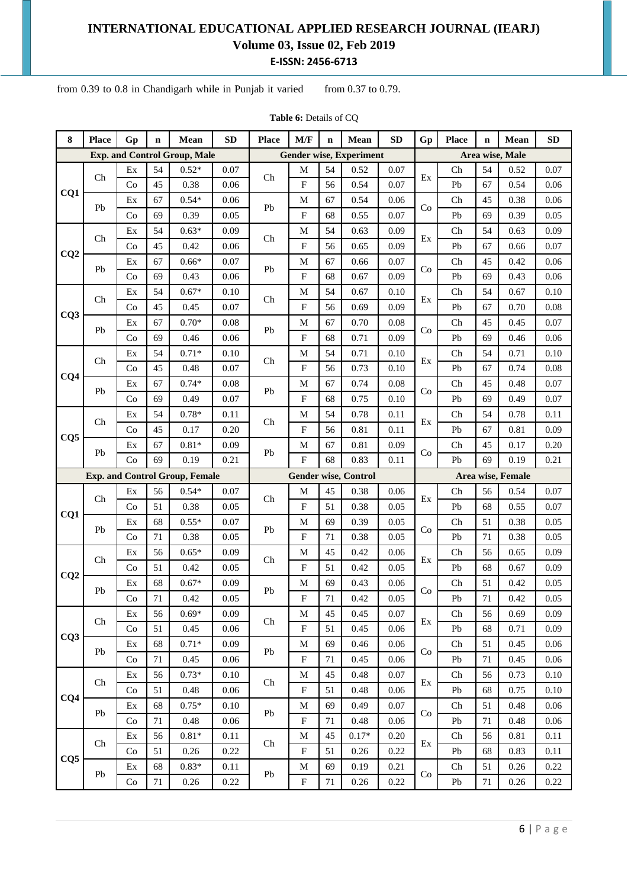from  $0.39$  to  $0.8$  in Chandigarh while in Punjab it varied from  $0.37$  to  $0.79$ .

| 8               | <b>Place</b> | Gp | $\mathbf n$ | Mean                                  | <b>SD</b> | <b>Place</b> | M/F                       | $\mathbf n$ | Mean                           | <b>SD</b> | Gp | <b>Place</b> | $\mathbf n$ | Mean              | ${\bf SD}$ |
|-----------------|--------------|----|-------------|---------------------------------------|-----------|--------------|---------------------------|-------------|--------------------------------|-----------|----|--------------|-------------|-------------------|------------|
|                 |              |    |             | <b>Exp. and Control Group, Male</b>   |           |              |                           |             | <b>Gender wise, Experiment</b> |           |    |              |             | Area wise, Male   |            |
|                 | Ch           | Ex | 54          | $0.52*$                               | 0.07      | Ch           | $\mathbf M$               | 54          | 0.52                           | 0.07      | Ex | Ch           | 54          | 0.52              | 0.07       |
|                 |              | Co | 45          | 0.38                                  | 0.06      |              | $\mathbf F$               | 56          | 0.54                           | 0.07      |    | Pb           | 67          | 0.54              | 0.06       |
| CQ1             | Pb           | Ex | 67          | $0.54*$                               | 0.06      | Pb           | M                         | 67          | 0.54                           | 0.06      | Co | Ch           | 45          | 0.38              | 0.06       |
|                 |              | Co | 69          | 0.39                                  | 0.05      |              | $\mathbf{F}$              | 68          | 0.55                           | 0.07      |    | Pb           | 69          | 0.39              | 0.05       |
|                 | Ch           | Ex | 54          | $0.63*$                               | 0.09      | Ch           | M                         | 54          | 0.63                           | 0.09      | Ex | Ch           | 54          | 0.63              | 0.09       |
| CQ2             |              | Co | 45          | 0.42                                  | 0.06      |              | $\mathbf F$               | 56          | 0.65                           | 0.09      |    | Pb           | 67          | 0.66              | 0.07       |
|                 | Pb           | Ex | 67          | $0.66*$                               | 0.07      | Pb           | M                         | 67          | 0.66                           | 0.07      | Co | Ch           | 45          | 0.42              | 0.06       |
|                 |              | Co | 69          | 0.43                                  | 0.06      |              | $\mathbf{F}$              | 68          | 0.67                           | 0.09      |    | Pb           | 69          | 0.43              | 0.06       |
|                 | Ch           | Ex | 54          | $0.67*$                               | 0.10      | Ch           | M                         | 54          | 0.67                           | 0.10      | Ex | Ch           | 54          | 0.67              | 0.10       |
| CQ3             |              | Co | 45          | 0.45                                  | 0.07      |              | $\mathbf{F}$              | 56          | 0.69                           | 0.09      |    | Pb           | 67          | 0.70              | 0.08       |
|                 | Pb           | Ex | 67          | $0.70*$                               | 0.08      | Pb           | M                         | 67          | 0.70                           | 0.08      | Co | Ch           | 45          | 0.45              | 0.07       |
|                 |              | Co | 69          | 0.46                                  | 0.06      |              | $\mathbf F$               | 68          | 0.71                           | 0.09      |    | Pb           | 69          | 0.46              | 0.06       |
|                 | Ch           | Ex | 54          | $0.71*$                               | 0.10      | Ch           | M                         | 54          | 0.71                           | 0.10      | Ex | Ch           | 54          | 0.71              | 0.10       |
| CQ4             |              | Co | 45          | 0.48                                  | 0.07      |              | $\mathbf F$               | 56          | 0.73                           | 0.10      |    | Pb           | 67          | 0.74              | 0.08       |
|                 | Pb           | Ex | 67          | $0.74*$                               | 0.08      | Pb           | M                         | 67          | 0.74                           | 0.08      | Co | Ch           | 45          | 0.48              | 0.07       |
|                 |              | Co | 69          | 0.49                                  | 0.07      |              | F                         | 68          | 0.75                           | 0.10      |    | Pb           | 69          | 0.49              | 0.07       |
|                 | Ch           | Ex | 54          | $0.78*$                               | 0.11      | Ch           | M                         | 54          | 0.78                           | 0.11      | Ex | Ch           | 54          | 0.78              | 0.11       |
| CQ5             |              | Co | 45          | 0.17                                  | 0.20      |              | F                         | 56          | 0.81                           | 0.11      |    | Pb           | 67          | 0.81              | 0.09       |
|                 | Pb           | Ex | 67          | $0.81*$                               | 0.09      | Pb           | M                         | 67          | 0.81                           | 0.09      | Co | Ch           | 45          | 0.17              | 0.20       |
|                 |              | Co | 69          | 0.19                                  | 0.21      |              | $\mathbf F$               | 68          | 0.83                           | 0.11      |    | Pb           | 69          | 0.19              | 0.21       |
|                 |              |    |             | <b>Exp. and Control Group, Female</b> |           |              |                           |             | <b>Gender wise, Control</b>    |           |    |              |             | Area wise, Female |            |
|                 | Ch           | Ex | 56          | $0.54*$                               | 0.07      | Ch           | M                         | 45          | 0.38                           | 0.06      | Ex | Ch           | 56          | 0.54              | 0.07       |
| CQ1             |              | Co | 51          | 0.38                                  | 0.05      |              | $\mathbf{F}$              | 51          | 0.38                           | 0.05      |    | Pb           | 68          | 0.55              | 0.07       |
|                 | Pb           | Ex | 68          | $0.55*$                               | 0.07      | Pb           | M                         | 69          | 0.39                           | 0.05      | Co | Ch           | 51          | 0.38              | 0.05       |
|                 |              | Co | 71          | 0.38                                  | 0.05      |              | $\mathbf{F}$              | 71          | 0.38                           | 0.05      |    | Pb           | 71          | 0.38              | 0.05       |
|                 | Ch           | Ex | 56          | $0.65*$                               | 0.09      | Ch           | M                         | 45          | 0.42                           | 0.06      | Ex | Ch           | 56          | 0.65              | 0.09       |
| CQ2             |              | Co | 51          | 0.42                                  | 0.05      |              | F                         | 51          | 0.42                           | 0.05      |    | Pb           | 68          | 0.67              | 0.09       |
|                 | Pb           | Ex | 68          | $0.67*$                               | 0.09      | Pb           | M                         | 69          | 0.43                           | 0.06      | Co | Ch           | 51          | 0.42              | 0.05       |
|                 |              | Co | $71\,$      | 0.42                                  | 0.05      |              | $\mathbf F$               | 71          | 0.42                           | 0.05      |    | Pb           | 71          | 0.42              | 0.05       |
|                 | Ch           | Ex | 56          | $0.69*$                               | 0.09      | Ch           | M                         | 45          | 0.45                           | 0.07      | Ex | Ch           | 56          | 0.69              | 0.09       |
| CQ <sub>3</sub> |              | Co | 51          | 0.45                                  | 0.06      |              | $\mathbf{F}$              | 51          | 0.45                           | 0.06      |    | Pb           | 68          | 0.71              | 0.09       |
|                 | Pb           | Ex | 68          | $0.71*$                               | 0.09      | Pb           | M                         | 69          | 0.46                           | 0.06      | Co | Ch           | 51          | 0.45              | 0.06       |
|                 |              | Co | 71          | 0.45                                  | 0.06      |              | $\boldsymbol{\mathrm{F}}$ | 71          | 0.45                           | 0.06      |    | Pb           | 71          | 0.45              | 0.06       |
|                 | Ch           | Ex | 56          | $0.73*$                               | 0.10      | Ch           | M                         | 45          | 0.48                           | 0.07      | Ex | Ch           | 56          | 0.73              | 0.10       |
| CQ4             |              | Co | 51          | 0.48                                  | 0.06      |              | F                         | 51          | 0.48                           | 0.06      |    | Pb           | 68          | 0.75              | 0.10       |
|                 | Pb           | Ex | 68          | $0.75*$                               | 0.10      | Pb           | M                         | 69          | 0.49                           | 0.07      | Co | Ch           | 51          | 0.48              | 0.06       |
|                 |              | Co | $71\,$      | 0.48                                  | 0.06      |              | ${\bf F}$                 | 71          | 0.48                           | 0.06      |    | Pb           | 71          | 0.48              | 0.06       |
|                 | Ch           | Ex | 56          | $0.81*$                               | 0.11      | Ch           | M                         | 45          | $0.17*$                        | 0.20      | Ex | Ch           | 56          | 0.81              | 0.11       |
| CQ5             |              | Co | 51          | 0.26                                  | 0.22      |              | ${\bf F}$                 | 51          | 0.26                           | 0.22      |    | Pb           | 68          | 0.83              | $0.11\,$   |
|                 | Pb           | Ex | 68          | $0.83*$                               | 0.11      | Pb           | M                         | 69          | 0.19                           | 0.21      | Co | Ch           | 51          | 0.26              | 0.22       |
|                 |              | Co | 71          | 0.26                                  | 0.22      |              | $\boldsymbol{\mathrm{F}}$ | $71\,$      | 0.26                           | 0.22      |    | Pb           | 71          | 0.26              | 0.22       |

**Table 6:** Details of CQ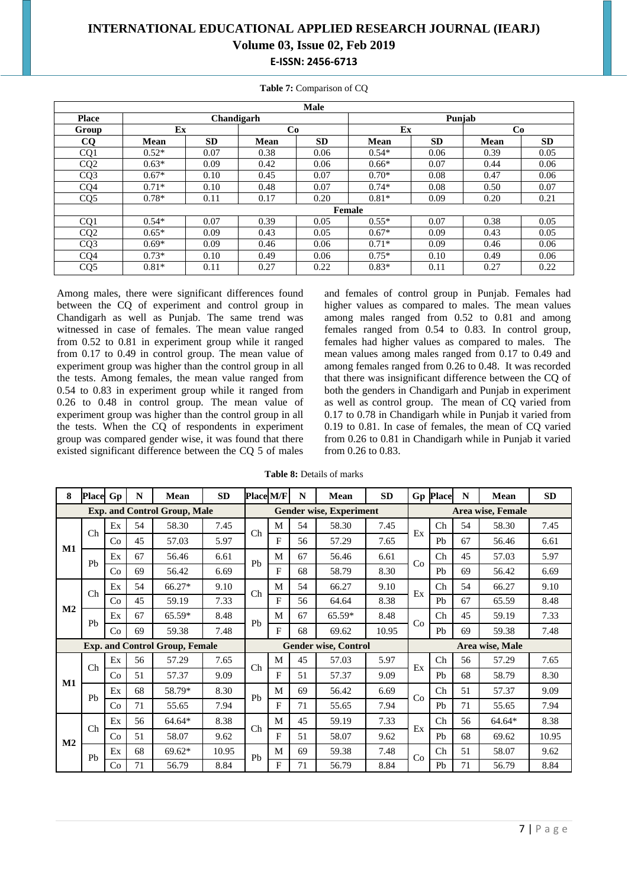|                 |             |            |             | Male      |             |           |      |           |  |  |  |  |  |
|-----------------|-------------|------------|-------------|-----------|-------------|-----------|------|-----------|--|--|--|--|--|
| <b>Place</b>    |             | Chandigarh |             |           |             | Puniab    |      |           |  |  |  |  |  |
| Group           | Ex          |            | Co          |           | Ex          |           | Co   |           |  |  |  |  |  |
| CQ              | <b>Mean</b> | <b>SD</b>  | <b>Mean</b> | <b>SD</b> | <b>Mean</b> | <b>SD</b> | Mean | <b>SD</b> |  |  |  |  |  |
| CQ1             | $0.52*$     | 0.07       | 0.38        | 0.06      | $0.54*$     | 0.06      | 0.39 | 0.05      |  |  |  |  |  |
| CQ2             | $0.63*$     | 0.09       | 0.42        | 0.06      | $0.66*$     | 0.07      | 0.44 | 0.06      |  |  |  |  |  |
| CO <sub>3</sub> | $0.67*$     | 0.10       | 0.45        | 0.07      | $0.70*$     | 0.08      | 0.47 | 0.06      |  |  |  |  |  |
| CQ4             | $0.71*$     | 0.10       | 0.48        | 0.07      | $0.74*$     | 0.08      | 0.50 | 0.07      |  |  |  |  |  |
| CQ5             | $0.78*$     | 0.11       | 0.17        | 0.20      | $0.81*$     | 0.09      | 0.20 | 0.21      |  |  |  |  |  |
|                 |             |            |             |           | Female      |           |      |           |  |  |  |  |  |
| CO <sub>1</sub> | $0.54*$     | 0.07       | 0.39        | 0.05      | $0.55*$     | 0.07      | 0.38 | 0.05      |  |  |  |  |  |
| CQ <sub>2</sub> | $0.65*$     | 0.09       | 0.43        | 0.05      | $0.67*$     | 0.09      | 0.43 | 0.05      |  |  |  |  |  |
| CQ3             | $0.69*$     | 0.09       | 0.46        | 0.06      | $0.71*$     | 0.09      | 0.46 | 0.06      |  |  |  |  |  |
| CQ4             | $0.73*$     | 0.10       | 0.49        | 0.06      | $0.75*$     | 0.10      | 0.49 | 0.06      |  |  |  |  |  |
| CQ <sub>5</sub> | $0.81*$     | 0.11       | 0.27        | 0.22      | $0.83*$     | 0.11      | 0.27 | 0.22      |  |  |  |  |  |

**Table 7:** Comparison of CQ

Among males, there were significant differences found between the CQ of experiment and control group in Chandigarh as well as Punjab. The same trend was witnessed in case of females. The mean value ranged from 0.52 to 0.81 in experiment group while it ranged from 0.17 to 0.49 in control group. The mean value of experiment group was higher than the control group in all the tests. Among females, the mean value ranged from 0.54 to 0.83 in experiment group while it ranged from 0.26 to 0.48 in control group. The mean value of experiment group was higher than the control group in all the tests. When the CQ of respondents in experiment group was compared gender wise, it was found that there existed significant difference between the CQ 5 of males

and females of control group in Punjab. Females had higher values as compared to males. The mean values among males ranged from 0.52 to 0.81 and among females ranged from 0.54 to 0.83. In control group, females had higher values as compared to males. The mean values among males ranged from 0.17 to 0.49 and among females ranged from 0.26 to 0.48. It was recorded that there was insignificant difference between the CQ of both the genders in Chandigarh and Punjab in experiment as well as control group. The mean of CQ varied from 0.17 to 0.78 in Chandigarh while in Punjab it varied from 0.19 to 0.81. In case of females, the mean of CQ varied from 0.26 to 0.81 in Chandigarh while in Punjab it varied from 0.26 to 0.83.

**Table 8:** Details of marks

| 8              | <b>Place</b>   | Gp | N  | <b>Mean</b>                           | <b>SD</b> | <b>Place M/F</b> |   | N  | <b>Mean</b>                    | <b>SD</b> |    | <b>Gp Place</b>                 | N  | <b>Mean</b>       | <b>SD</b> |
|----------------|----------------|----|----|---------------------------------------|-----------|------------------|---|----|--------------------------------|-----------|----|---------------------------------|----|-------------------|-----------|
|                |                |    |    | <b>Exp. and Control Group, Male</b>   |           |                  |   |    | <b>Gender wise, Experiment</b> |           |    |                                 |    | Area wise, Female |           |
|                | Ch             | Ex | 54 | 58.30                                 | 7.45      | Ch               | M | 54 | 58.30                          | 7.45      | Ex | Ch                              | 54 | 58.30             | 7.45      |
|                |                | Co | 45 | 57.03                                 | 5.97      |                  | F | 56 | 57.29                          | 7.65      |    | P <sub>b</sub>                  | 67 | 56.46             | 6.61      |
| M1             | P <sub>b</sub> | Ex | 67 | 56.46                                 | 6.61      | P <sub>b</sub>   | M | 67 | 56.46                          | 6.61      | Co | Ch                              | 45 | 57.03             | 5.97      |
|                |                | Co | 69 | 56.42                                 | 6.69      |                  | F | 68 | 58.79                          | 8.30      |    | Pb                              | 69 | 56.42             | 6.69      |
|                | Ch             | Ex | 54 | 66.27*                                | 9.10      | Ch               | M | 54 | 66.27                          | 9.10      | Ex | Ch                              | 54 | 66.27             | 9.10      |
|                |                | Co | 45 | 59.19                                 | 7.33      |                  | F | 56 | 64.64                          | 8.38      |    | Pb                              | 67 | 65.59             | 8.48      |
| M <sub>2</sub> | P <sub>b</sub> | Ex | 67 | 65.59*                                | 8.48      | P <sub>b</sub>   | M | 67 | 65.59*                         | 8.48      | Co | $\rm Ch$                        | 45 | 59.19             | 7.33      |
|                |                | Co | 69 | 59.38                                 | 7.48      |                  | F | 68 | 69.62                          | 10.95     |    | Pb                              | 69 | 59.38             | 7.48      |
|                |                |    |    | <b>Exp. and Control Group, Female</b> |           |                  |   |    | <b>Gender wise, Control</b>    |           |    |                                 |    | Area wise, Male   |           |
|                | Ch             | Ex | 56 | 57.29                                 | 7.65      | Ch               | M | 45 | 57.03                          | 5.97      | Ex | $\rm Ch$                        | 56 | 57.29             | 7.65      |
| M1             |                | Co | 51 | 57.37                                 | 9.09      |                  | F | 51 | 57.37                          | 9.09      |    | P <sub>b</sub>                  | 68 | 58.79             | 8.30      |
|                | P <sub>b</sub> | Ex | 68 | 58.79*                                | 8.30      | Pb               | М | 69 | 56.42                          | 6.69      | Co | $\rm Ch$                        | 51 | 57.37             | 9.09      |
|                |                | Co | 71 | 55.65                                 | 7.94      |                  | F | 71 | 55.65                          | 7.94      |    | P <sub>b</sub>                  | 71 | 55.65             | 7.94      |
|                | Ch             | Ex | 56 | 64.64*                                | 8.38      | Ch               | M | 45 | 59.19                          | 7.33      | Ex | $\mathop{\mathrm{Ch}}\nolimits$ | 56 | 64.64*            | 8.38      |
| M <sub>2</sub> |                | Co | 51 | 58.07                                 | 9.62      |                  | F | 51 | 58.07                          | 9.62      |    | Pb                              | 68 | 69.62             | 10.95     |
|                | Pb             | Ex | 68 | $69.62*$                              | 10.95     | Pb               | М | 69 | 59.38                          | 7.48      | Co | Ch                              | 51 | 58.07             | 9.62      |
|                |                | Co | 71 | 56.79                                 | 8.84      |                  | F | 71 | 56.79                          | 8.84      |    | Pb                              | 71 | 56.79             | 8.84      |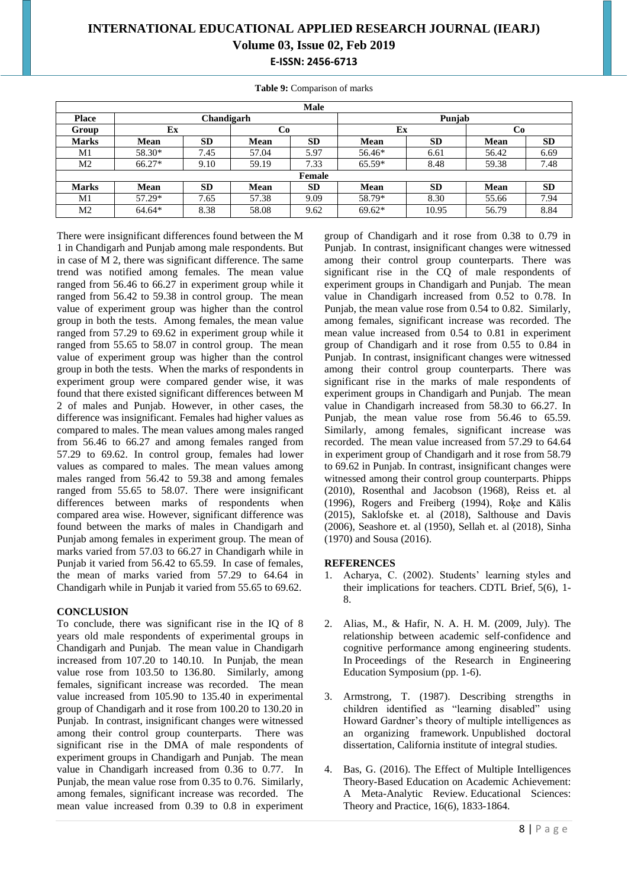**Table 9:** Comparison of marks

|              | <b>Male</b> |            |             |               |             |           |             |           |  |  |  |  |  |
|--------------|-------------|------------|-------------|---------------|-------------|-----------|-------------|-----------|--|--|--|--|--|
| <b>Place</b> |             | Chandigarh |             |               |             | Punjab    |             |           |  |  |  |  |  |
| Group        | Ex          |            | Co          |               | Ex          |           | Co          |           |  |  |  |  |  |
| <b>Marks</b> | <b>Mean</b> | <b>SD</b>  | <b>Mean</b> | <b>SD</b>     | <b>Mean</b> | <b>SD</b> | <b>Mean</b> | <b>SD</b> |  |  |  |  |  |
| M1           | 58.30*      | 7.45       | 57.04       | 5.97          | 56.46*      | 6.61      | 56.42       | 6.69      |  |  |  |  |  |
| M2           | 66.27*      | 9.10       | 59.19       | 7.33          | $65.59*$    | 8.48      | 59.38       | 7.48      |  |  |  |  |  |
|              |             |            |             | <b>Female</b> |             |           |             |           |  |  |  |  |  |
| <b>Marks</b> | <b>Mean</b> | <b>SD</b>  | <b>Mean</b> | <b>SD</b>     | <b>Mean</b> | <b>SD</b> | <b>Mean</b> | <b>SD</b> |  |  |  |  |  |
| M1           | 57.29*      | 7.65       | 57.38       | 9.09          | 58.79*      | 8.30      | 55.66       | 7.94      |  |  |  |  |  |
| M2           | 64.64*      | 8.38       | 58.08       | 9.62          | $69.62*$    | 10.95     | 56.79       | 8.84      |  |  |  |  |  |

There were insignificant differences found between the M 1 in Chandigarh and Punjab among male respondents. But in case of M 2, there was significant difference. The same trend was notified among females. The mean value ranged from 56.46 to 66.27 in experiment group while it ranged from 56.42 to 59.38 in control group. The mean value of experiment group was higher than the control group in both the tests. Among females, the mean value ranged from 57.29 to 69.62 in experiment group while it ranged from 55.65 to 58.07 in control group. The mean value of experiment group was higher than the control group in both the tests. When the marks of respondents in experiment group were compared gender wise, it was found that there existed significant differences between M 2 of males and Punjab. However, in other cases, the difference was insignificant. Females had higher values as compared to males. The mean values among males ranged from 56.46 to 66.27 and among females ranged from 57.29 to 69.62. In control group, females had lower values as compared to males. The mean values among males ranged from 56.42 to 59.38 and among females ranged from 55.65 to 58.07. There were insignificant differences between marks of respondents when compared area wise. However, significant difference was found between the marks of males in Chandigarh and Punjab among females in experiment group. The mean of marks varied from 57.03 to 66.27 in Chandigarh while in Punjab it varied from 56.42 to 65.59. In case of females, the mean of marks varied from 57.29 to 64.64 in Chandigarh while in Punjab it varied from 55.65 to 69.62.

#### **CONCLUSION**

To conclude, there was significant rise in the IQ of 8 years old male respondents of experimental groups in Chandigarh and Punjab. The mean value in Chandigarh increased from 107.20 to 140.10. In Punjab, the mean value rose from 103.50 to 136.80. Similarly, among females, significant increase was recorded. The mean value increased from 105.90 to 135.40 in experimental group of Chandigarh and it rose from 100.20 to 130.20 in Punjab. In contrast, insignificant changes were witnessed among their control group counterparts. There was significant rise in the DMA of male respondents of experiment groups in Chandigarh and Punjab. The mean value in Chandigarh increased from 0.36 to 0.77. In Punjab, the mean value rose from 0.35 to 0.76. Similarly, among females, significant increase was recorded. The mean value increased from 0.39 to 0.8 in experiment

group of Chandigarh and it rose from 0.38 to 0.79 in Punjab. In contrast, insignificant changes were witnessed among their control group counterparts. There was significant rise in the CQ of male respondents of experiment groups in Chandigarh and Punjab. The mean value in Chandigarh increased from 0.52 to 0.78. In Punjab, the mean value rose from 0.54 to 0.82. Similarly, among females, significant increase was recorded. The mean value increased from 0.54 to 0.81 in experiment group of Chandigarh and it rose from 0.55 to 0.84 in Punjab. In contrast, insignificant changes were witnessed among their control group counterparts. There was significant rise in the marks of male respondents of experiment groups in Chandigarh and Punjab. The mean value in Chandigarh increased from 58.30 to 66.27. In Punjab, the mean value rose from 56.46 to 65.59. Similarly, among females, significant increase was recorded. The mean value increased from 57.29 to 64.64 in experiment group of Chandigarh and it rose from 58.79 to 69.62 in Punjab. In contrast, insignificant changes were witnessed among their control group counterparts. Phipps (2010), Rosenthal and Jacobson (1968), Reiss et. al (1996), Rogers and Freiberg (1994), Roķe and Kālis (2015), Saklofske et. al (2018), Salthouse and Davis (2006), Seashore et. al (1950), Sellah et. al (2018), Sinha (1970) and Sousa (2016).

#### **REFERENCES**

- 1. Acharya, C. (2002). Students' learning styles and their implications for teachers. CDTL Brief, 5(6), 1- 8.
- 2. Alias, M., & Hafir, N. A. H. M. (2009, July). The relationship between academic self-confidence and cognitive performance among engineering students. In Proceedings of the Research in Engineering Education Symposium (pp. 1-6).
- 3. Armstrong, T. (1987). Describing strengths in children identified as "learning disabled" using Howard Gardner's theory of multiple intelligences as an organizing framework. Unpublished doctoral dissertation, California institute of integral studies.
- 4. Bas, G. (2016). The Effect of Multiple Intelligences Theory-Based Education on Academic Achievement: A Meta-Analytic Review. Educational Sciences: Theory and Practice, 16(6), 1833-1864.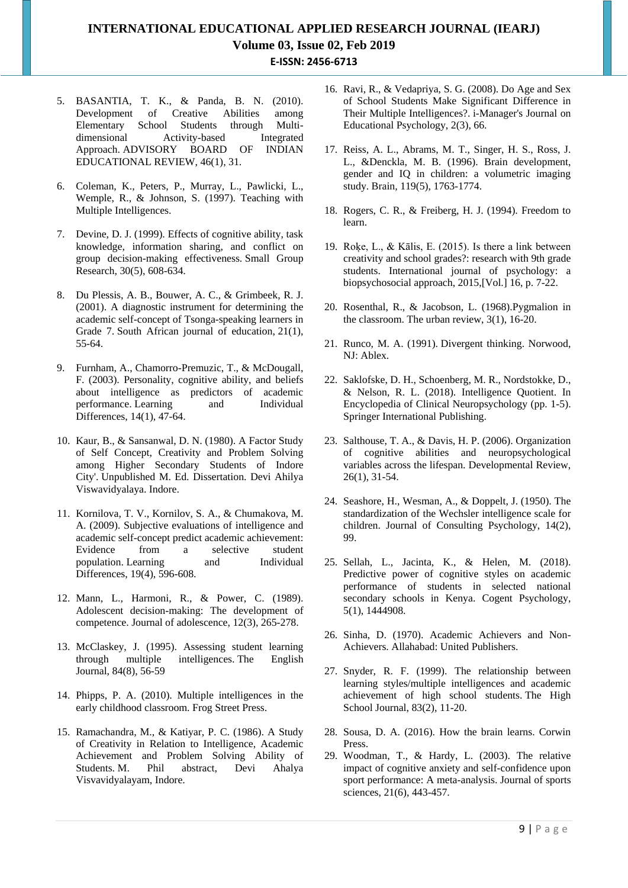- 5. BASANTIA, T. K., & Panda, B. N. (2010). Development of Creative Abilities among Elementary School Students through Multidimensional Activity-based Integrated Approach. ADVISORY BOARD OF INDIAN EDUCATIONAL REVIEW, 46(1), 31.
- 6. Coleman, K., Peters, P., Murray, L., Pawlicki, L., Wemple, R., & Johnson, S. (1997). Teaching with Multiple Intelligences.
- 7. Devine, D. J. (1999). Effects of cognitive ability, task knowledge, information sharing, and conflict on group decision-making effectiveness. Small Group Research, 30(5), 608-634.
- 8. Du Plessis, A. B., Bouwer, A. C., & Grimbeek, R. J. (2001). A diagnostic instrument for determining the academic self-concept of Tsonga-speaking learners in Grade 7. South African journal of education, 21(1), 55-64.
- 9. Furnham, A., Chamorro-Premuzic, T., & McDougall, F. (2003). Personality, cognitive ability, and beliefs about intelligence as predictors of academic performance. Learning and Individual Differences, 14(1), 47-64.
- 10. Kaur, B., & Sansanwal, D. N. (1980). A Factor Study of Self Concept, Creativity and Problem Solving among Higher Secondary Students of Indore City'. Unpublished M. Ed. Dissertation. Devi Ahilya Viswavidyalaya. Indore.
- 11. Kornilova, T. V., Kornilov, S. A., & Chumakova, M. A. (2009). Subjective evaluations of intelligence and academic self-concept predict academic achievement: Evidence from a selective population. Learning and Individual Differences, 19(4), 596-608.
- 12. Mann, L., Harmoni, R., & Power, C. (1989). Adolescent decision-making: The development of competence. Journal of adolescence, 12(3), 265-278.
- 13. McClaskey, J. (1995). Assessing student learning through multiple intelligences. The English Journal, 84(8), 56-59
- 14. Phipps, P. A. (2010). Multiple intelligences in the early childhood classroom. Frog Street Press.
- 15. Ramachandra, M., & Katiyar, P. C. (1986). A Study of Creativity in Relation to Intelligence, Academic Achievement and Problem Solving Ability of Students. M. Phil abstract, Devi Ahalya Visvavidyalayam, Indore.
- 16. Ravi, R., & Vedapriya, S. G. (2008). Do Age and Sex of School Students Make Significant Difference in Their Multiple Intelligences?. i-Manager's Journal on Educational Psychology, 2(3), 66.
- 17. Reiss, A. L., Abrams, M. T., Singer, H. S., Ross, J. L., &Denckla, M. B. (1996). Brain development, gender and IQ in children: a volumetric imaging study. Brain, 119(5), 1763-1774.
- 18. Rogers, C. R., & Freiberg, H. J. (1994). Freedom to learn.
- 19. Roķe, L., & Kālis, E. (2015). Is there a link between creativity and school grades?: research with 9th grade students. International journal of psychology: a biopsychosocial approach, 2015,[Vol.] 16, p. 7-22.
- 20. Rosenthal, R., & Jacobson, L. (1968).Pygmalion in the classroom. The urban review, 3(1), 16-20.
- 21. Runco, M. A. (1991). Divergent thinking. Norwood, NJ: Ablex.
- 22. Saklofske, D. H., Schoenberg, M. R., Nordstokke, D., & Nelson, R. L. (2018). Intelligence Quotient. In Encyclopedia of Clinical Neuropsychology (pp. 1-5). Springer International Publishing.
- 23. Salthouse, T. A., & Davis, H. P. (2006). Organization of cognitive abilities and neuropsychological variables across the lifespan. Developmental Review, 26(1), 31-54.
- 24. Seashore, H., Wesman, A., & Doppelt, J. (1950). The standardization of the Wechsler intelligence scale for children. Journal of Consulting Psychology, 14(2), 99.
- 25. Sellah, L., Jacinta, K., & Helen, M. (2018). Predictive power of cognitive styles on academic performance of students in selected national secondary schools in Kenya. Cogent Psychology, 5(1), 1444908.
- 26. Sinha, D. (1970). Academic Achievers and Non-Achievers. Allahabad: United Publishers.
- 27. Snyder, R. F. (1999). The relationship between learning styles/multiple intelligences and academic achievement of high school students. The High School Journal, 83(2), 11-20.
- 28. Sousa, D. A. (2016). How the brain learns. Corwin Press.
- 29. Woodman, T., & Hardy, L. (2003). The relative impact of cognitive anxiety and self-confidence upon sport performance: A meta-analysis. Journal of sports sciences, 21(6), 443-457.